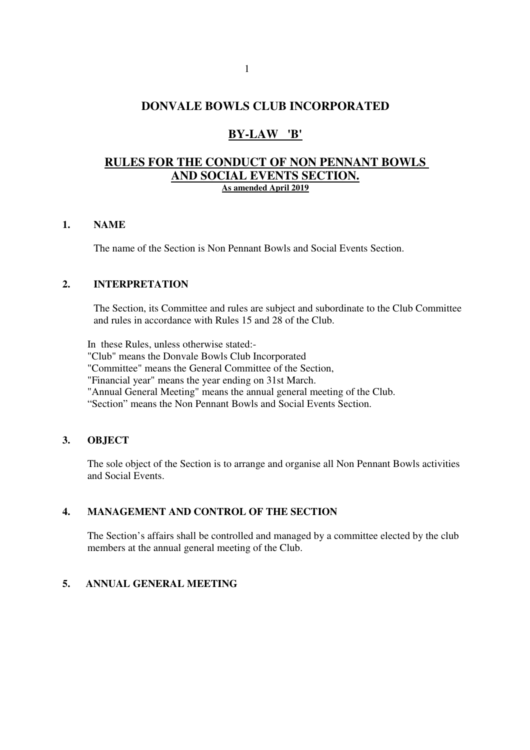## **DONVALE BOWLS CLUB INCORPORATED**

# **BY-LAW 'B'**

### **RULES FOR THE CONDUCT OF NON PENNANT BOWLS AND SOCIAL EVENTS SECTION. As amended April 2019**

#### **1. NAME**

The name of the Section is Non Pennant Bowls and Social Events Section.

### **2. INTERPRETATION**

The Section, its Committee and rules are subject and subordinate to the Club Committee and rules in accordance with Rules 15 and 28 of the Club.

 In these Rules, unless otherwise stated:- "Club" means the Donvale Bowls Club Incorporated "Committee" means the General Committee of the Section, "Financial year" means the year ending on 31st March. "Annual General Meeting" means the annual general meeting of the Club. "Section" means the Non Pennant Bowls and Social Events Section.

#### **3. OBJECT**

The sole object of the Section is to arrange and organise all Non Pennant Bowls activities and Social Events.

### **4. MANAGEMENT AND CONTROL OF THE SECTION**

The Section's affairs shall be controlled and managed by a committee elected by the club members at the annual general meeting of the Club.

### **5. ANNUAL GENERAL MEETING**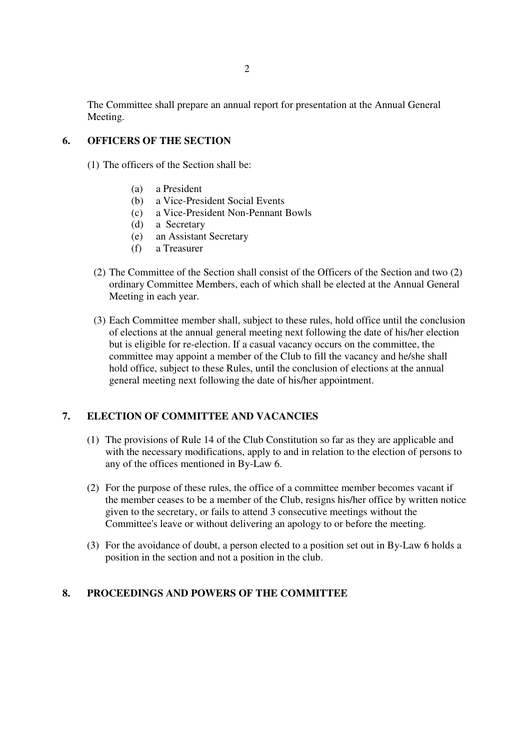The Committee shall prepare an annual report for presentation at the Annual General Meeting.

#### **6. OFFICERS OF THE SECTION**

- (1) The officers of the Section shall be:
	- (a) a President
	- (b) a Vice-President Social Events
	- (c) a Vice-President Non-Pennant Bowls
	- (d) a Secretary
	- (e) an Assistant Secretary
	- (f) a Treasurer
	- (2) The Committee of the Section shall consist of the Officers of the Section and two (2) ordinary Committee Members, each of which shall be elected at the Annual General Meeting in each year.
	- (3) Each Committee member shall, subject to these rules, hold office until the conclusion of elections at the annual general meeting next following the date of his/her election but is eligible for re-election. If a casual vacancy occurs on the committee, the committee may appoint a member of the Club to fill the vacancy and he/she shall hold office, subject to these Rules, until the conclusion of elections at the annual general meeting next following the date of his/her appointment.

### **7. ELECTION OF COMMITTEE AND VACANCIES**

- (1) The provisions of Rule 14 of the Club Constitution so far as they are applicable and with the necessary modifications, apply to and in relation to the election of persons to any of the offices mentioned in By-Law 6.
- (2) For the purpose of these rules, the office of a committee member becomes vacant if the member ceases to be a member of the Club, resigns his/her office by written notice given to the secretary, or fails to attend 3 consecutive meetings without the Committee's leave or without delivering an apology to or before the meeting.
- (3) For the avoidance of doubt, a person elected to a position set out in By-Law 6 holds a position in the section and not a position in the club.

### **8. PROCEEDINGS AND POWERS OF THE COMMITTEE**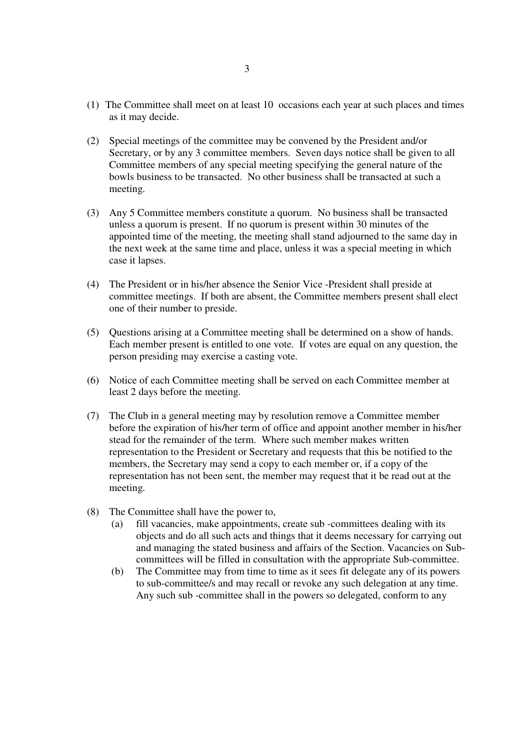- (1) The Committee shall meet on at least 10 occasions each year at such places and times as it may decide.
- (2) Special meetings of the committee may be convened by the President and/or Secretary, or by any 3 committee members. Seven days notice shall be given to all Committee members of any special meeting specifying the general nature of the bowls business to be transacted. No other business shall be transacted at such a meeting.
- (3) Any 5 Committee members constitute a quorum. No business shall be transacted unless a quorum is present. If no quorum is present within 30 minutes of the appointed time of the meeting, the meeting shall stand adjourned to the same day in the next week at the same time and place, unless it was a special meeting in which case it lapses.
- (4) The President or in his/her absence the Senior Vice -President shall preside at committee meetings. If both are absent, the Committee members present shall elect one of their number to preside.
- (5) Questions arising at a Committee meeting shall be determined on a show of hands. Each member present is entitled to one vote. If votes are equal on any question, the person presiding may exercise a casting vote.
- (6) Notice of each Committee meeting shall be served on each Committee member at least 2 days before the meeting.
- (7) The Club in a general meeting may by resolution remove a Committee member before the expiration of his/her term of office and appoint another member in his/her stead for the remainder of the term. Where such member makes written representation to the President or Secretary and requests that this be notified to the members, the Secretary may send a copy to each member or, if a copy of the representation has not been sent, the member may request that it be read out at the meeting.
- (8) The Committee shall have the power to,
	- (a) fill vacancies, make appointments, create sub -committees dealing with its objects and do all such acts and things that it deems necessary for carrying out and managing the stated business and affairs of the Section. Vacancies on Subcommittees will be filled in consultation with the appropriate Sub-committee.
	- (b) The Committee may from time to time as it sees fit delegate any of its powers to sub-committee/s and may recall or revoke any such delegation at any time. Any such sub -committee shall in the powers so delegated, conform to any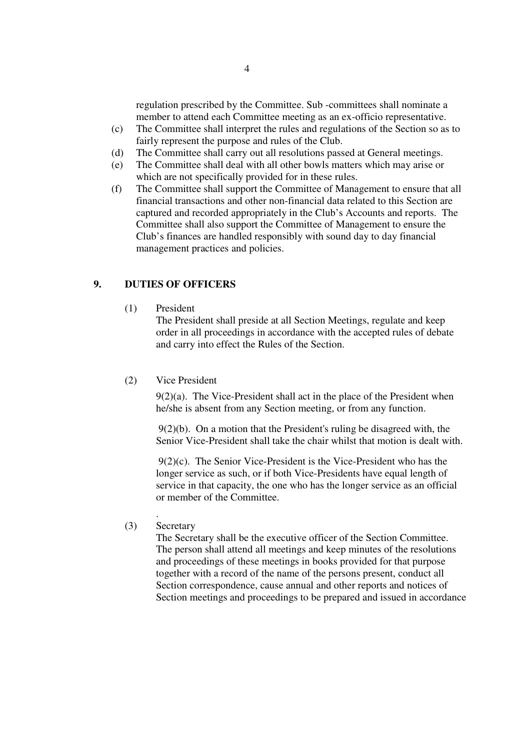regulation prescribed by the Committee. Sub -committees shall nominate a member to attend each Committee meeting as an ex-officio representative.

- (c) The Committee shall interpret the rules and regulations of the Section so as to fairly represent the purpose and rules of the Club.
- (d) The Committee shall carry out all resolutions passed at General meetings.
- (e) The Committee shall deal with all other bowls matters which may arise or which are not specifically provided for in these rules.
- (f) The Committee shall support the Committee of Management to ensure that all financial transactions and other non-financial data related to this Section are captured and recorded appropriately in the Club's Accounts and reports. The Committee shall also support the Committee of Management to ensure the Club's finances are handled responsibly with sound day to day financial management practices and policies.

### **9. DUTIES OF OFFICERS**

(1) President

The President shall preside at all Section Meetings, regulate and keep order in all proceedings in accordance with the accepted rules of debate and carry into effect the Rules of the Section.

(2) Vice President

9(2)(a). The Vice-President shall act in the place of the President when he/she is absent from any Section meeting, or from any function.

 9(2)(b). On a motion that the President's ruling be disagreed with, the Senior Vice-President shall take the chair whilst that motion is dealt with.

 9(2)(c). The Senior Vice-President is the Vice-President who has the longer service as such, or if both Vice-Presidents have equal length of service in that capacity, the one who has the longer service as an official or member of the Committee.

. (3) Secretary

> The Secretary shall be the executive officer of the Section Committee. The person shall attend all meetings and keep minutes of the resolutions and proceedings of these meetings in books provided for that purpose together with a record of the name of the persons present, conduct all Section correspondence, cause annual and other reports and notices of Section meetings and proceedings to be prepared and issued in accordance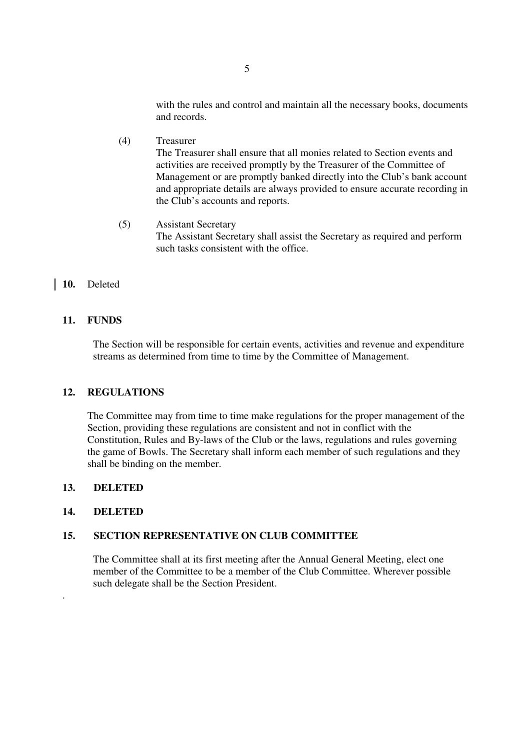with the rules and control and maintain all the necessary books, documents and records.

- (4) Treasurer The Treasurer shall ensure that all monies related to Section events and activities are received promptly by the Treasurer of the Committee of Management or are promptly banked directly into the Club's bank account and appropriate details are always provided to ensure accurate recording in the Club's accounts and reports.
- (5) Assistant Secretary The Assistant Secretary shall assist the Secretary as required and perform such tasks consistent with the office.

#### **10.** Deleted

#### **11. FUNDS**

 The Section will be responsible for certain events, activities and revenue and expenditure streams as determined from time to time by the Committee of Management.

#### **12. REGULATIONS**

The Committee may from time to time make regulations for the proper management of the Section, providing these regulations are consistent and not in conflict with the Constitution, Rules and By-laws of the Club or the laws, regulations and rules governing the game of Bowls. The Secretary shall inform each member of such regulations and they shall be binding on the member.

#### **13. DELETED**

#### **14. DELETED**

.

#### **15. SECTION REPRESENTATIVE ON CLUB COMMITTEE**

 The Committee shall at its first meeting after the Annual General Meeting, elect one member of the Committee to be a member of the Club Committee. Wherever possible such delegate shall be the Section President.